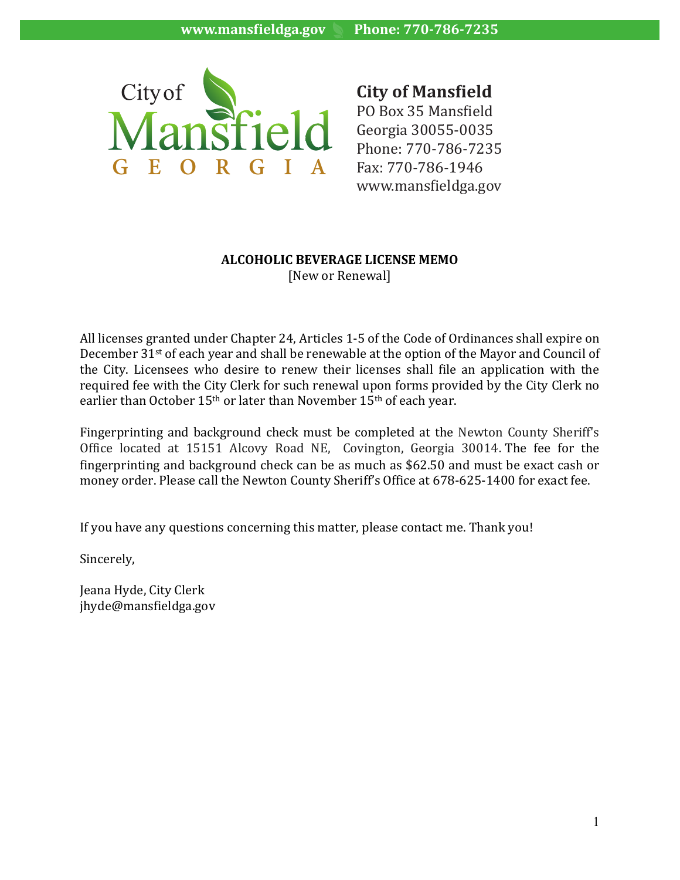

**City of Mansfield**  $\sim$  11 PO Box 35 Mansfield  $\textsf{P}\textsf{O}$  Georgia 30055-0035 Phone: 770-786-7235  $I \quad A \quad$  Fax: 770-786-1946 www.mansfieldga.gov

#### **ALCOHOLIC BEVERAGE LICENSE MEMO** [New or Renewal]

All licenses granted under Chapter 24, Articles 1-5 of the Code of Ordinances shall expire on December 31<sup>st</sup> of each year and shall be renewable at the option of the Mayor and Council of the City. Licensees who desire to renew their licenses shall file an application with the required fee with the City Clerk for such renewal upon forms provided by the City Clerk no earlier than October 15<sup>th</sup> or later than November 15<sup>th</sup> of each vear.

Fingerprinting and background check must be completed at the Newton County Sheriff's Office located at 15151 Alcovy Road NE, Covington, Georgia 30014. The fee for the fingerprinting and background check can be as much as  $$62.50$  and must be exact cash or money order. Please call the Newton County Sheriff's Office at 678-625-1400 for exact fee.

If you have any questions concerning this matter, please contact me. Thank you!

Sincerely,

Jeana Hyde, City Clerk jhyde@mansfieldga.gov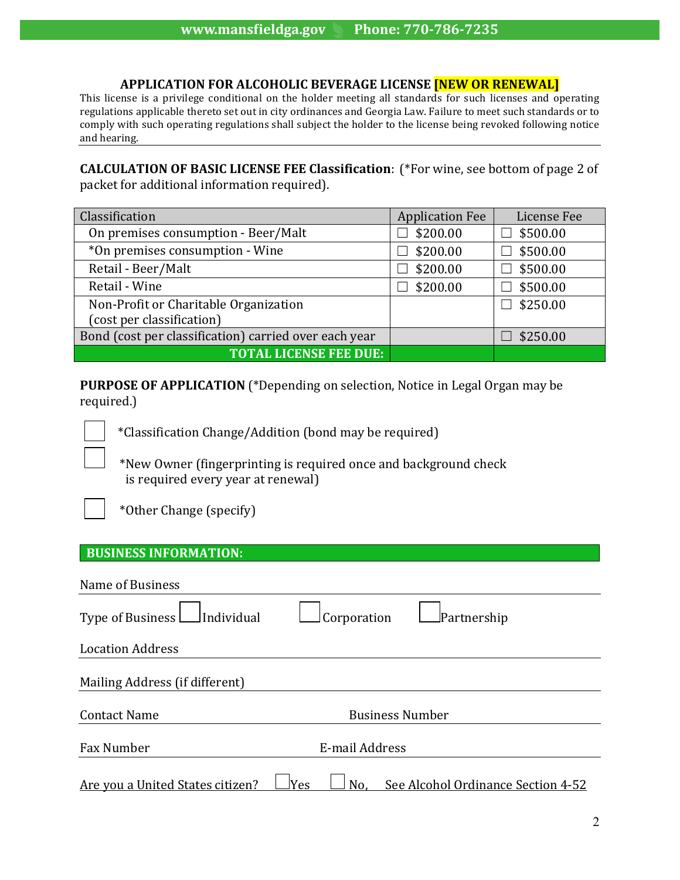#### **APPLICATION FOR ALCOHOLIC BEVERAGE LICENSE <b>[NEW OR RENEWAL]**

This license is a privilege conditional on the holder meeting all standards for such licenses and operating regulations applicable thereto set out in city ordinances and Georgia Law. Failure to meet such standards or to comply with such operating regulations shall subject the holder to the license being revoked following notice and hearing.

**CALCULATION OF BASIC LICENSE FEE Classification:** (\*For wine, see bottom of page 2 of packet for additional information required).

| Classification                                        | <b>Application Fee</b> | License Fee     |
|-------------------------------------------------------|------------------------|-----------------|
| On premises consumption - Beer/Malt                   | \$200.00               | \$500.00        |
| *On premises consumption - Wine                       | \$200.00               | \$500.00        |
| Retail - Beer/Malt                                    | \$200.00               | \$500.00        |
| Retail - Wine                                         | \$200.00               | \$500.00        |
| Non-Profit or Charitable Organization                 |                        | $\Box$ \$250.00 |
| (cost per classification)                             |                        |                 |
| Bond (cost per classification) carried over each year |                        | \$250.00        |
| <b>TOTAL LICENSE FEE DUE:</b>                         |                        |                 |

**PURPOSE OF APPLICATION** (\*Depending on selection, Notice in Legal Organ may be required.)

 \*Classification Change/Addition (bond may be required)

\*New Owner (fingerprinting is required once and background check is required every year at renewal)

 $\overline{\phantom{a}}$ 

\*Other Change (specify)

### **BUSINESS INFORMATION:**

| Name of Business                        |                |                        |                                    |
|-----------------------------------------|----------------|------------------------|------------------------------------|
| $\Box$ Individual<br>Type of Business L |                | Corporation            | Partnership                        |
| <b>Location Address</b>                 |                |                        |                                    |
| Mailing Address (if different)          |                |                        |                                    |
| <b>Contact Name</b>                     |                | <b>Business Number</b> |                                    |
| Fax Number                              | E-mail Address |                        |                                    |
| Are you a United States citizen?        | Yes            | No.                    | See Alcohol Ordinance Section 4-52 |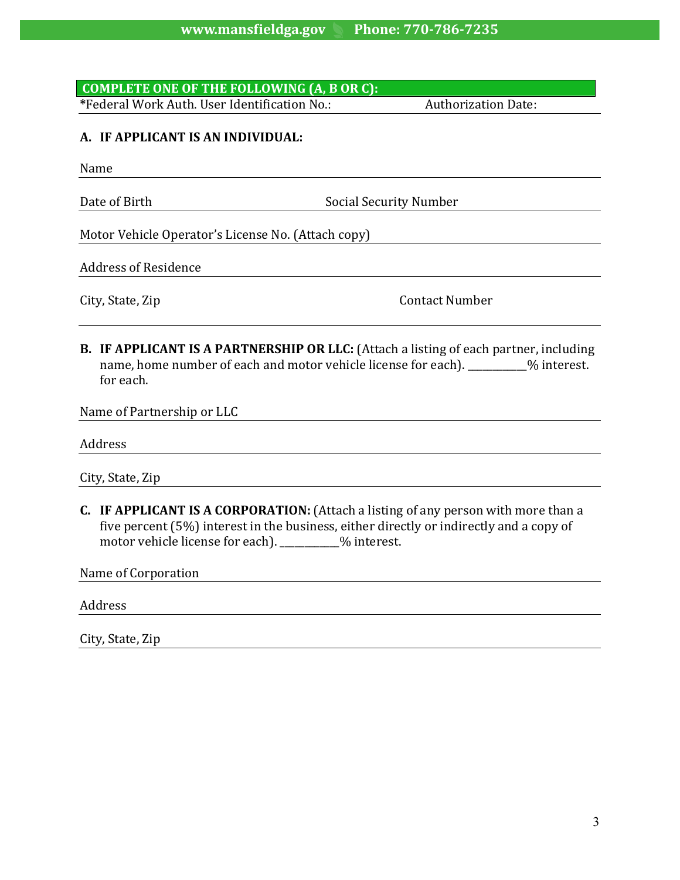# **COMPLETE ONE OF THE FOLLOWING (A, B OR C):**

**\***Federal Work Auth. User Identification No.: Authorization Date: 

### **A. IF APPLICANT IS AN INDIVIDUAL:**

Name

Date of Birth **Social Security Number** Social Security Number

Motor Vehicle Operator's License No. (Attach copy)

Address of Residence

City, State, Zip **Contact Number** 

**B. IF APPLICANT IS A PARTNERSHIP OR LLC:** (Attach a listing of each partner, including name, home number of each and motor vehicle license for each). \_\_\_\_\_\_\_\_% interest. for each.

Name of Partnership or LLC

Address 

City, State, Zip

**C.** IF APPLICANT IS A CORPORATION: (Attach a listing of any person with more than a five percent  $(5%)$  interest in the business, either directly or indirectly and a copy of motor vehicle license for each).  $\frac{1}{2}$  motor vehicle license for each).

Name of Corporation

Address 

City, State, Zip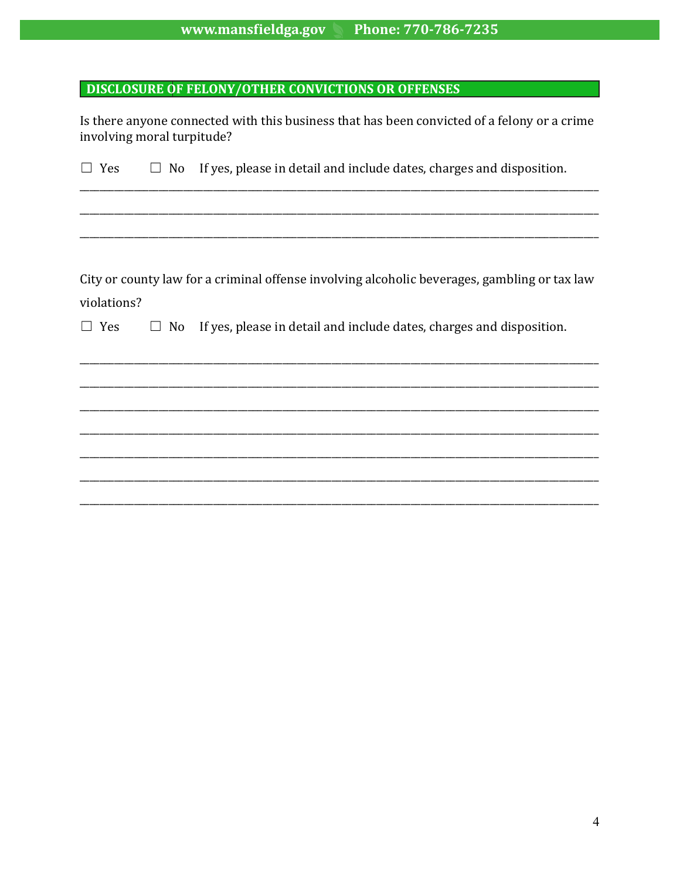#### www.mansfieldga.gov Phone: 770-786-7235

### **DISCLOSURE OF FELONY/OTHER CONVICTIONS OR OFFENSES**

Is there anyone connected with this business that has been convicted of a felony or a crime involving moral turpitude?

 $\Box$  No If yes, please in detail and include dates, charges and disposition.  $\Box$  Yes

City or county law for a criminal offense involving alcoholic beverages, gambling or tax law violations?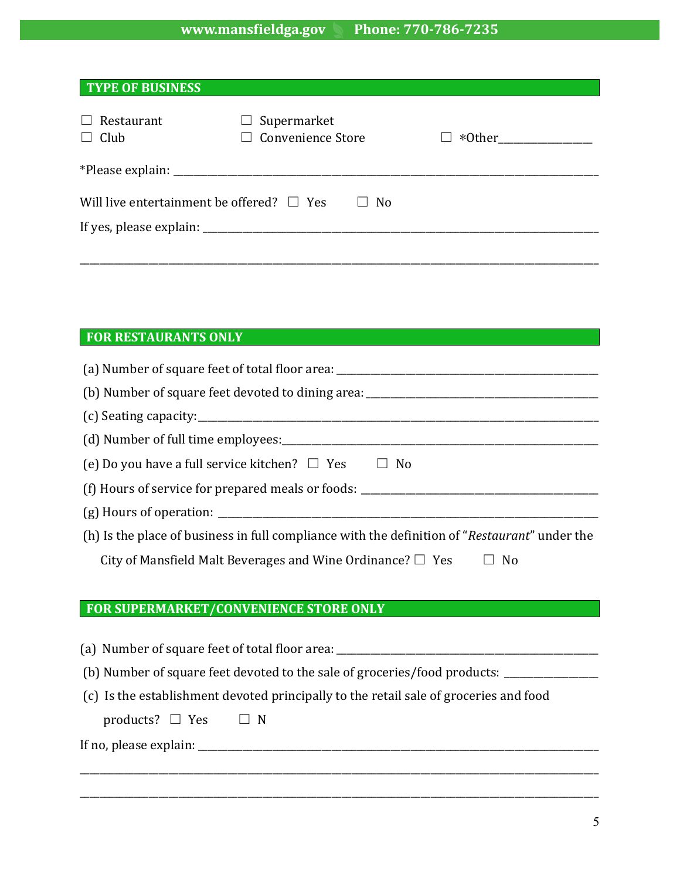# **www.mansfieldga.gov Phone: 770-786-7235**

| <b>TYPE OF BUSINESS</b>                                          |                                                   |  |  |  |
|------------------------------------------------------------------|---------------------------------------------------|--|--|--|
| Restaurant<br>$\Box$ Club                                        | Supermarket<br>$\Box$<br>$\Box$ Convenience Store |  |  |  |
|                                                                  |                                                   |  |  |  |
| Will live entertainment be offered? $\Box$ Yes<br>N <sub>o</sub> |                                                   |  |  |  |
|                                                                  |                                                   |  |  |  |
|                                                                  |                                                   |  |  |  |

# **FOR RESTAURANTS ONLY**

| (e) Do you have a full service kitchen? $\Box$ Yes $\Box$ No                                  |
|-----------------------------------------------------------------------------------------------|
|                                                                                               |
|                                                                                               |
| (h) Is the place of business in full compliance with the definition of "Restaurant" under the |
| City of Mansfield Malt Beverages and Wine Ordinance? $\Box$ Yes<br>$\Box$ No                  |
|                                                                                               |
| FOR SUPERMARKET/CONVENIENCE STORE ONLY                                                        |
|                                                                                               |
| (a) Number of square feet of total floor area: _________________________________              |
| (b) Number of square feet devoted to the sale of groceries/food products: _____________       |
| (c) Is the establishment devoted principally to the retail sale of groceries and food         |
| products? $\Box$ Yes $\Box$ N                                                                 |
|                                                                                               |
|                                                                                               |
|                                                                                               |
|                                                                                               |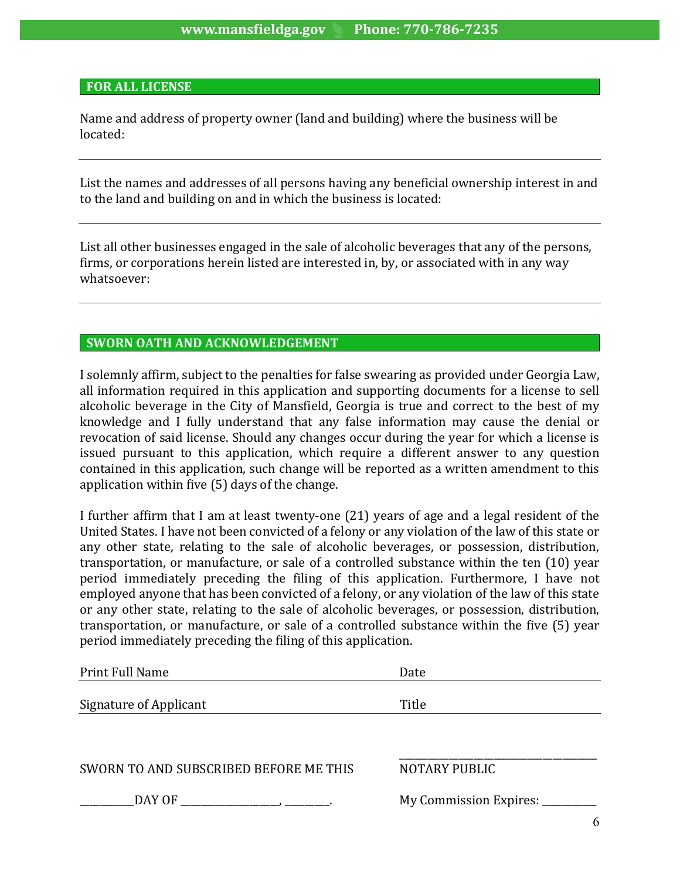#### **FOR ALL LICENSE**

Name and address of property owner (land and building) where the business will be located:

List the names and addresses of all persons having any beneficial ownership interest in and to the land and building on and in which the business is located:

List all other businesses engaged in the sale of alcoholic beverages that any of the persons, firms, or corporations herein listed are interested in, by, or associated with in any way whatsoever:

#### **SWORN OATH AND ACKNOWLEDGEMENT**

I solemnly affirm, subject to the penalties for false swearing as provided under Georgia Law, all information required in this application and supporting documents for a license to sell alcoholic beverage in the City of Mansfield, Georgia is true and correct to the best of my knowledge and I fully understand that any false information may cause the denial or revocation of said license. Should any changes occur during the year for which a license is issued pursuant to this application, which require a different answer to any question contained in this application, such change will be reported as a written amendment to this application within five  $(5)$  days of the change.

I further affirm that I am at least twenty-one (21) years of age and a legal resident of the United States. I have not been convicted of a felony or any violation of the law of this state or any other state, relating to the sale of alcoholic beverages, or possession, distribution, transportation, or manufacture, or sale of a controlled substance within the ten (10) year period immediately preceding the filing of this application. Furthermore, I have not employed anyone that has been convicted of a felony, or any violation of the law of this state or any other state, relating to the sale of alcoholic beverages, or possession, distribution, transportation, or manufacture, or sale of a controlled substance within the five (5) year period immediately preceding the filing of this application.

| Print Full Name                        | Date                        |
|----------------------------------------|-----------------------------|
| Signature of Applicant                 | Title                       |
| SWORN TO AND SUBSCRIBED BEFORE ME THIS | <b>NOTARY PUBLIC</b>        |
| DAY OF                                 | My Commission Expires: ____ |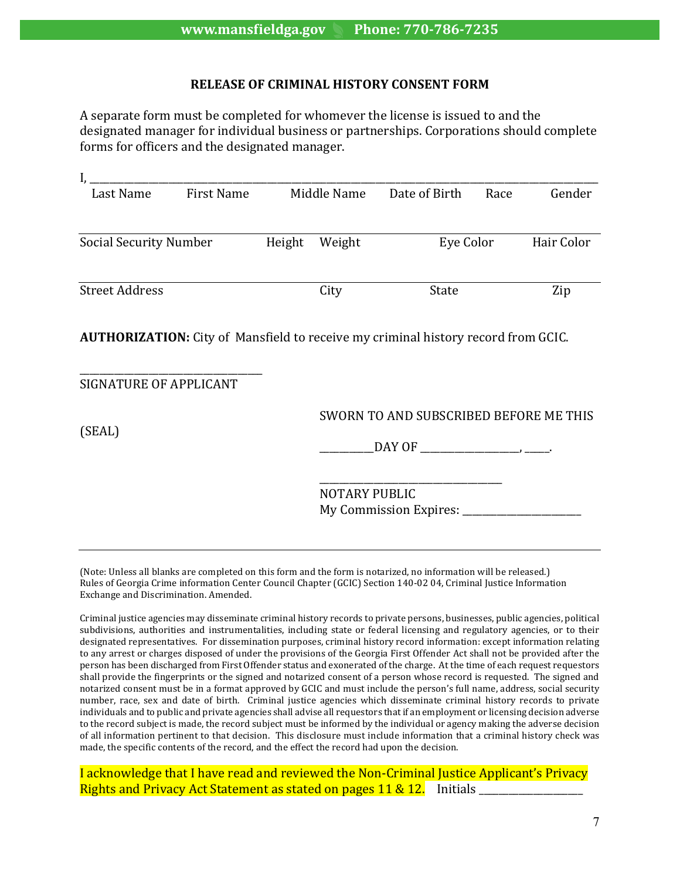#### **RELEASE OF CRIMINAL HISTORY CONSENT FORM**

A separate form must be completed for whomever the license is issued to and the designated manager for individual business or partnerships. Corporations should complete forms for officers and the designated manager.

| Last Name                                                                                | First Name |        | Middle Name | Date of Birth | Race | Gender     |
|------------------------------------------------------------------------------------------|------------|--------|-------------|---------------|------|------------|
|                                                                                          |            |        |             |               |      |            |
| Social Security Number                                                                   |            | Height | Weight      | Eye Color     |      | Hair Color |
|                                                                                          |            |        |             |               |      |            |
| <b>Street Address</b>                                                                    |            |        | City        | <b>State</b>  |      | Zip        |
| <b>AUTHORIZATION:</b> City of Mansfield to receive my criminal history record from GCIC. |            |        |             |               |      |            |

| SIGNATURE OF APPLICANT |                                        |
|------------------------|----------------------------------------|
| (SEAL)                 | SWORN TO AND SUBSCRIBED BEFORE ME THIS |
|                        |                                        |
|                        | <b>NOTARY PUBLIC</b>                   |
|                        | My Commission Expires: ___             |

(Note: Unless all blanks are completed on this form and the form is notarized, no information will be released.) Rules of Georgia Crime information Center Council Chapter (GCIC) Section 140-02 04, Criminal Justice Information Exchange and Discrimination. Amended.

Criminal justice agencies may disseminate criminal history records to private persons, businesses, public agencies, political subdivisions, authorities and instrumentalities, including state or federal licensing and regulatory agencies, or to their designated representatives. For dissemination purposes, criminal history record information: except information relating to any arrest or charges disposed of under the provisions of the Georgia First Offender Act shall not be provided after the person has been discharged from First Offender status and exonerated of the charge. At the time of each request requestors shall provide the fingerprints or the signed and notarized consent of a person whose record is requested. The signed and notarized consent must be in a format approved by GCIC and must include the person's full name, address, social security number, race, sex and date of birth. Criminal justice agencies which disseminate criminal history records to private individuals and to public and private agencies shall advise all requestors that if an employment or licensing decision adverse to the record subject is made, the record subject must be informed by the individual or agency making the adverse decision of all information pertinent to that decision. This disclosure must include information that a criminal history check was made, the specific contents of the record, and the effect the record had upon the decision.

I acknowledge that I have read and reviewed the Non-Criminal Justice Applicant's Privacy Rights and Privacy Act Statement as stated on pages  $11 \& 12$ . Initials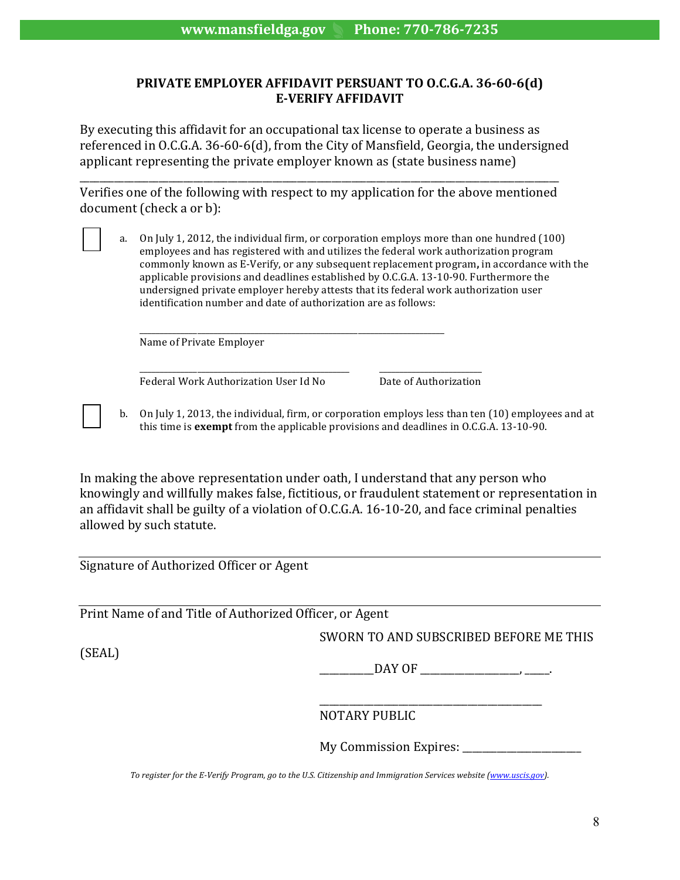#### **PRIVATE EMPLOYER AFFIDAVIT PERSUANT TO O.C.G.A. 36-60-6(d) E-VERIFY AFFIDAVIT**

By executing this affidavit for an occupational tax license to operate a business as referenced in O.C.G.A.  $36-60-6$ (d), from the City of Mansfield, Georgia, the undersigned applicant representing the private employer known as (state business name)

\_\_\_\_\_\_\_\_\_\_\_\_\_\_\_\_\_\_\_\_\_\_\_\_\_\_\_\_\_\_\_\_\_\_\_\_\_\_\_\_\_\_\_\_\_\_\_\_\_\_\_\_\_\_\_\_\_\_\_\_\_\_\_\_\_\_\_\_\_\_\_\_\_\_\_\_\_\_\_\_\_\_\_\_\_\_\_\_\_\_\_\_\_\_\_\_\_ Verifies one of the following with respect to my application for the above mentioned document (check a or b):

a. On July 1, 2012, the individual firm, or corporation employs more than one hundred (100) employees and has registered with and utilizes the federal work authorization program commonly known as E-Verify, or any subsequent replacement program, in accordance with the applicable provisions and deadlines established by O.C.G.A. 13-10-90. Furthermore the undersigned private employer hereby attests that its federal work authorization user identification number and date of authorization are as follows:

\_\_\_\_\_\_\_\_\_\_\_\_\_\_\_\_\_\_\_\_\_\_\_\_\_\_\_\_\_\_\_\_\_\_\_\_\_\_\_\_\_\_\_\_\_\_\_\_\_\_\_\_\_\_\_\_\_\_\_\_\_\_\_\_\_\_\_\_\_\_\_\_\_\_ Name of Private Employer

\_\_\_\_\_\_\_\_\_\_\_\_\_\_\_\_\_\_\_\_\_\_\_\_\_\_\_\_\_\_\_\_\_\_\_\_\_\_\_\_\_\_\_\_\_\_\_\_\_\_\_ \_\_\_\_\_\_\_\_\_\_\_\_\_\_\_\_\_\_\_\_\_\_\_\_\_ Federal Work Authorization User Id No Bate of Authorization

b. On July 1, 2013, the individual, firm, or corporation employs less than ten (10) employees and at this time is exempt from the applicable provisions and deadlines in O.C.G.A. 13-10-90.

In making the above representation under oath, I understand that any person who knowingly and willfully makes false, fictitious, or fraudulent statement or representation in an affidavit shall be guilty of a violation of O.C.G.A. 16-10-20, and face criminal penalties allowed by such statute.

Signature of Authorized Officer or Agent

Print Name of and Title of Authorized Officer, or Agent

SWORN TO AND SUBSCRIBED BEFORE ME THIS

(SEAL)

 $\Box$ DAY OF  $\Box$ 

\_\_\_\_\_\_\_\_\_\_\_\_\_\_\_\_\_\_\_\_\_\_\_\_\_\_\_\_\_\_\_\_\_\_\_\_\_\_\_\_\_\_\_\_\_ NOTARY PUBLIC 

My Commission Expires: \_\_\_\_\_\_\_\_\_\_\_\_\_\_\_\_\_\_\_\_\_\_\_\_

To register for the E-Verify Program, go to the U.S. Citizenship and Immigration Services website (www.uscis.gov).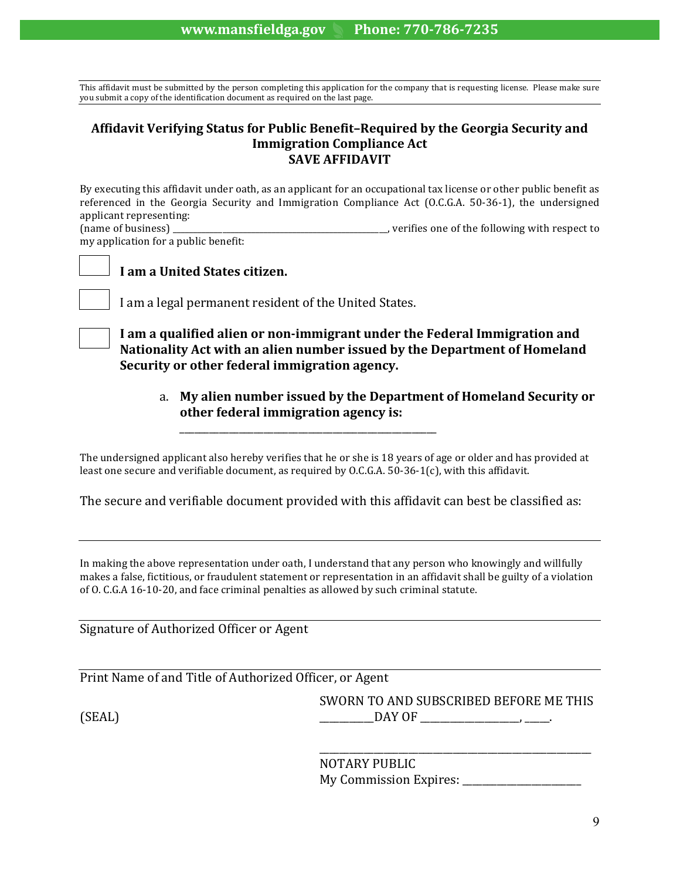This affidavit must be submitted by the person completing this application for the company that is requesting license. Please make sure you submit a copy of the identification document as required on the last page.

#### Affidavit Verifying Status for Public Benefit-Required by the Georgia Security and **Immigration Compliance Act SAVE AFFIDAVIT**

By executing this affidavit under oath, as an applicant for an occupational tax license or other public benefit as referenced in the Georgia Security and Immigration Compliance Act (O.C.G.A. 50-36-1), the undersigned applicant representing:<br>(name of business)

, verifies one of the following with respect to my application for a public benefit:

#### **I** am a United States citizen.

I am a legal permanent resident of the United States.

I am a qualified alien or non-immigrant under the Federal Immigration and Nationality Act with an alien number issued by the Department of Homeland **Security or other federal immigration agency.** 

a. My alien number issued by the Department of Homeland Security or **other federal immigration agency is:** 

The undersigned applicant also hereby verifies that he or she is 18 years of age or older and has provided at least one secure and verifiable document, as required by O.C.G.A. 50-36-1(c), with this affidavit.

\_\_\_\_\_\_\_\_\_\_\_\_\_\_\_\_\_\_\_\_\_\_\_\_\_\_\_\_\_\_\_\_\_\_\_\_\_\_\_\_\_\_\_\_\_\_\_\_\_\_\_\_

The secure and verifiable document provided with this affidavit can best be classified as:

In making the above representation under oath, I understand that any person who knowingly and willfully makes a false, fictitious, or fraudulent statement or representation in an affidavit shall be guilty of a violation of O. C.G.A 16-10-20, and face criminal penalties as allowed by such criminal statute.

Signature of Authorized Officer or Agent

Print Name of and Title of Authorized Officer, or Agent

SWORN TO AND SUBSCRIBED BEFORE ME THIS  $(SEAL)$   $DAY$   $OF$ 

> \_\_\_\_\_\_\_\_\_\_\_\_\_\_\_\_\_\_\_\_\_\_\_\_\_\_\_\_\_\_\_\_\_\_\_\_\_\_\_\_\_\_\_\_\_\_\_\_\_\_\_\_\_\_\_ NOTARY PUBLIC My Commission Expires: \_\_\_\_\_\_\_\_\_\_\_\_\_\_\_\_\_\_\_\_\_\_\_\_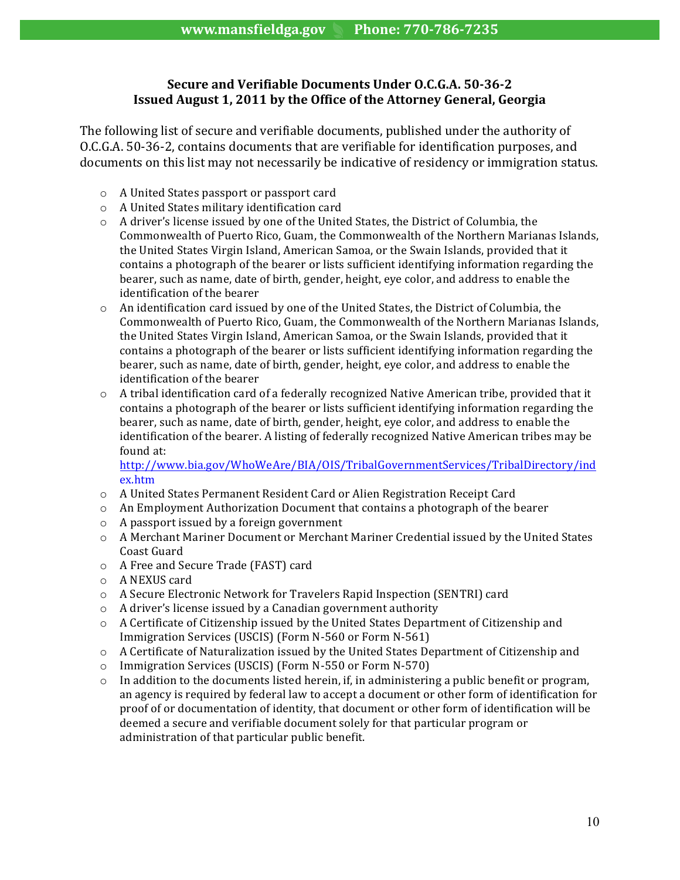#### **Secure and Verifiable Documents Under O.C.G.A. 50-36-2 Issued August 1, 2011 by the Office of the Attorney General, Georgia**

The following list of secure and verifiable documents, published under the authority of O.C.G.A. 50-36-2, contains documents that are verifiable for identification purposes, and documents on this list may not necessarily be indicative of residency or immigration status.

- o A United States passport or passport card
- o A United States military identification card
- $\circ$  A driver's license issued by one of the United States, the District of Columbia, the Commonwealth of Puerto Rico, Guam, the Commonwealth of the Northern Marianas Islands, the United States Virgin Island, American Samoa, or the Swain Islands, provided that it contains a photograph of the bearer or lists sufficient identifying information regarding the bearer, such as name, date of birth, gender, height, eve color, and address to enable the identification of the bearer
- $\circ$  An identification card issued by one of the United States, the District of Columbia, the Commonwealth of Puerto Rico, Guam, the Commonwealth of the Northern Marianas Islands, the United States Virgin Island, American Samoa, or the Swain Islands, provided that it contains a photograph of the bearer or lists sufficient identifying information regarding the bearer, such as name, date of birth, gender, height, eye color, and address to enable the identification of the bearer
- $\circ$  A tribal identification card of a federally recognized Native American tribe, provided that it contains a photograph of the bearer or lists sufficient identifying information regarding the bearer, such as name, date of birth, gender, height, eye color, and address to enable the identification of the bearer. A listing of federally recognized Native American tribes may be found at:

http://www.bia.gov/WhoWeAre/BIA/OIS/TribalGovernmentServices/TribalDirectory/ind ex.htm 

- $\circ$  A United States Permanent Resident Card or Alien Registration Receipt Card
- $\circ$  An Employment Authorization Document that contains a photograph of the bearer
- $\circ$  A passport issued by a foreign government
- $\circ$  A Merchant Mariner Document or Merchant Mariner Credential issued by the United States Coast Guard
- o A Free and Secure Trade (FAST) card
- o A NEXUS card
- o A Secure Electronic Network for Travelers Rapid Inspection (SENTRI) card
- $\circ$  A driver's license issued by a Canadian government authority
- o A Certificate of Citizenship issued by the United States Department of Citizenship and Immigration Services (USCIS) (Form N-560 or Form N-561)
- $\circ$  A Certificate of Naturalization issued by the United States Department of Citizenship and
- o Immigration Services (USCIS) (Form N-550 or Form N-570)
- $\circ$  In addition to the documents listed herein, if, in administering a public benefit or program, an agency is required by federal law to accept a document or other form of identification for proof of or documentation of identity, that document or other form of identification will be deemed a secure and verifiable document solely for that particular program or administration of that particular public benefit.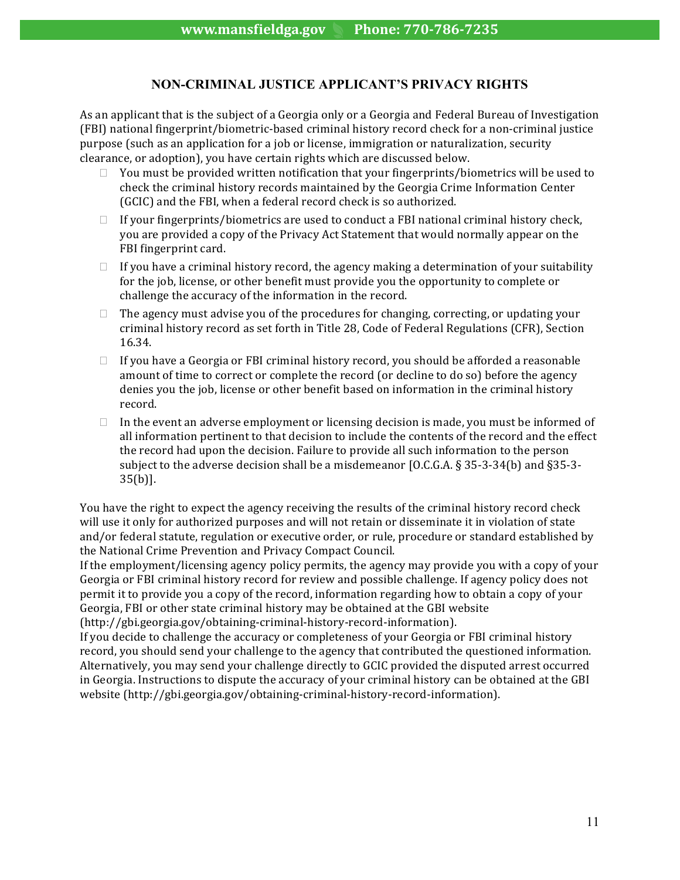#### **NON-CRIMINAL JUSTICE APPLICANT'S PRIVACY RIGHTS**

As an applicant that is the subject of a Georgia only or a Georgia and Federal Bureau of Investigation (FBI) national fingerprint/biometric-based criminal history record check for a non-criminal justice purpose (such as an application for a job or license, immigration or naturalization, security clearance, or adoption), you have certain rights which are discussed below.

- $\Box$  You must be provided written notification that your fingerprints/biometrics will be used to check the criminal history records maintained by the Georgia Crime Information Center (GCIC) and the FBI, when a federal record check is so authorized.
- $\Box$  If your fingerprints/biometrics are used to conduct a FBI national criminal history check, you are provided a copy of the Privacy Act Statement that would normally appear on the FBI fingerprint card.
- $\Box$  If you have a criminal history record, the agency making a determination of your suitability for the job, license, or other benefit must provide you the opportunity to complete or challenge the accuracy of the information in the record.
- $\Box$  The agency must advise you of the procedures for changing, correcting, or updating your criminal history record as set forth in Title 28, Code of Federal Regulations (CFR), Section 16.34.
- $\Box$  If you have a Georgia or FBI criminal history record, you should be afforded a reasonable amount of time to correct or complete the record (or decline to do so) before the agency denies you the job, license or other benefit based on information in the criminal history record.
- $\Box$  In the event an adverse employment or licensing decision is made, you must be informed of all information pertinent to that decision to include the contents of the record and the effect the record had upon the decision. Failure to provide all such information to the person subject to the adverse decision shall be a misdemeanor [O.C.G.A.  $\S 35-3-34(b)$  and  $\S 35-3-34$ 35(b)].

You have the right to expect the agency receiving the results of the criminal history record check will use it only for authorized purposes and will not retain or disseminate it in violation of state and/or federal statute, regulation or executive order, or rule, procedure or standard established by the National Crime Prevention and Privacy Compact Council.

If the employment/licensing agency policy permits, the agency may provide you with a copy of your Georgia or FBI criminal history record for review and possible challenge. If agency policy does not permit it to provide you a copy of the record, information regarding how to obtain a copy of your Georgia, FBI or other state criminal history may be obtained at the GBI website (http://gbi.georgia.gov/obtaining-criminal-history-record-information). 

If you decide to challenge the accuracy or completeness of your Georgia or FBI criminal history record, you should send your challenge to the agency that contributed the questioned information. Alternatively, you may send your challenge directly to GCIC provided the disputed arrest occurred in Georgia. Instructions to dispute the accuracy of your criminal history can be obtained at the GBI website (http://gbi.georgia.gov/obtaining-criminal-history-record-information).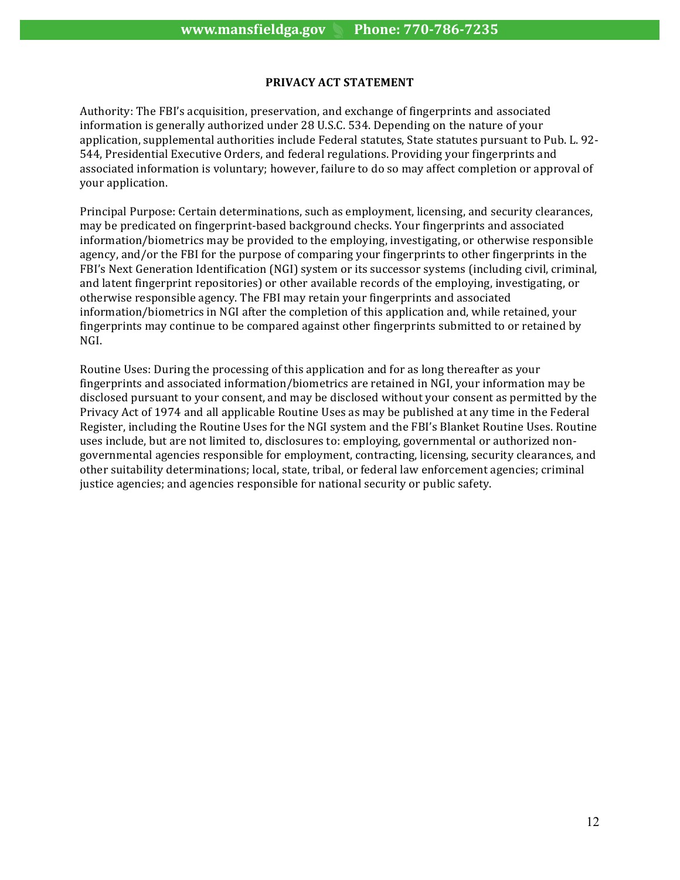#### **PRIVACY ACT STATEMENT**

Authority: The FBI's acquisition, preservation, and exchange of fingerprints and associated information is generally authorized under 28 U.S.C. 534. Depending on the nature of your application, supplemental authorities include Federal statutes, State statutes pursuant to Pub. L. 92-544, Presidential Executive Orders, and federal regulations. Providing your fingerprints and associated information is voluntary; however, failure to do so may affect completion or approval of your application.

Principal Purpose: Certain determinations, such as employment, licensing, and security clearances, may be predicated on fingerprint-based background checks. Your fingerprints and associated information/biometrics may be provided to the employing, investigating, or otherwise responsible agency, and/or the FBI for the purpose of comparing your fingerprints to other fingerprints in the FBI's Next Generation Identification (NGI) system or its successor systems (including civil, criminal, and latent fingerprint repositories) or other available records of the employing, investigating, or otherwise responsible agency. The FBI may retain your fingerprints and associated information/biometrics in NGI after the completion of this application and, while retained, your fingerprints may continue to be compared against other fingerprints submitted to or retained by NGI. 

Routine Uses: During the processing of this application and for as long thereafter as your fingerprints and associated information/biometrics are retained in NGI, your information may be disclosed pursuant to your consent, and may be disclosed without your consent as permitted by the Privacy Act of 1974 and all applicable Routine Uses as may be published at any time in the Federal Register, including the Routine Uses for the NGI system and the FBI's Blanket Routine Uses. Routine uses include, but are not limited to, disclosures to: employing, governmental or authorized nongovernmental agencies responsible for employment, contracting, licensing, security clearances, and other suitability determinations; local, state, tribal, or federal law enforcement agencies; criminal justice agencies; and agencies responsible for national security or public safety.